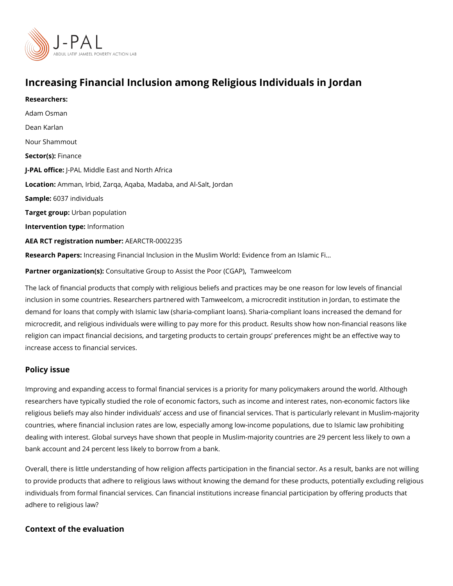## Increasing Financial Inclusion among Religious Individuals

[Adam Os](https://www.povertyactionlab.org/person/osman)man [Dean Ka](https://www.povertyactionlab.org/person/karlan)rlan [Nour Sham](https://www.povertyactionlab.org/person/shammout)mout Sector(Fsi)nance J-PAL oftlicPeAL Middle East and North Africa LocatioAmman, Irbid, Zarqa, Aqaba, Madaba, and Al-Salt, Jordan Sample6:037 individuals Target groupban population Intervention tympfeo: rmation AEA RCT registration ArEuAnRbCeTR-0002235 Research Papreorseasing Financial Inclusion in the Muslim World: Evidence from an Islamic

Partner organizat Coom(ssu) I: tative Group to Assist the Rove BI (CO GhAP)

The lack of financial products that comply with religious beliefs and practices may be one inclusion in some countries. Researchers partnered with Tamweelcom, a microcredit instit demand for loans that comply with Islamic law (sharia-compliant loans). Sharia-compliant microcredit, and religious individuals were willing to pay more for this product. Results s religion can impact financial decisions, and targeting products to certain groups preferer increase access to financial services.

## Policy issue

Researchers:

Improving and expanding access to formal financial services is a priority for many policyr researchers have typically studied the role of economic factors, such as income and inter religious beliefs may also hinder individuals access and use of financial services. That i countries, where financial inclusion rates are low, especially among low-income populatio dealing with interest. Global surveys have shown that people in Muslim-majority countries bank account and 24 percent less likely to borrow from a bank.

Overall, there is little understanding of how religion affects participation in the financial to provide products that adhere to religious laws without knowing the demand for these pr individuals from formal financial services. Can financial institutions increase financial pa adhere to religious law?

Context of the evaluation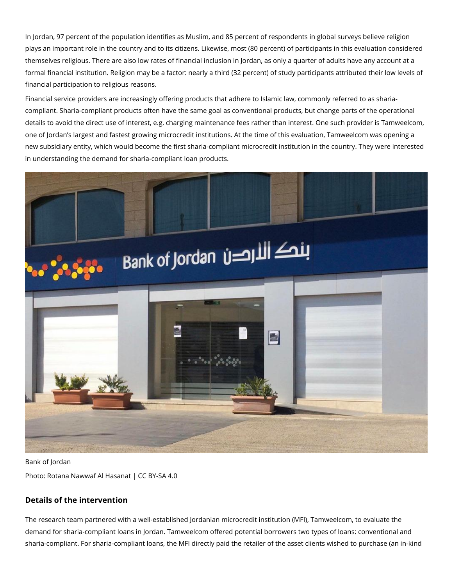In Jordan, 97 percent of the population identifies as Muslim, and 85 percent of respondents in global surveys believe religion plays an important role in the country and to its citizens. Likewise, most (80 percent) of participants in this evaluation considered themselves religious. There are also low rates of financial inclusion in Jordan, as only a quarter of adults have any account at a formal financial institution. Religion may be a factor: nearly a third (32 percent) of study participants attributed their low levels of financial participation to religious reasons.

Financial service providers are increasingly offering products that adhere to Islamic law, commonly referred to as shariacompliant. Sharia-compliant products often have the same goal as conventional products, but change parts of the operational details to avoid the direct use of interest, e.g. charging maintenance fees rather than interest. One such provider is Tamweelcom, one of Jordan's largest and fastest growing microcredit institutions. At the time of this evaluation, Tamweelcom was opening a new subsidiary entity, which would become the first sharia-compliant microcredit institution in the country. They were interested in understanding the demand for sharia-compliant loan products.



Bank of Jordan Photo: Rotana Nawwaf Al Hasanat | CC BY-SA 4.0

## **Details of the intervention**

The research team partnered with a well-established Jordanian microcredit institution (MFI), Tamweelcom, to evaluate the demand for sharia-compliant loans in Jordan. Tamweelcom offered potential borrowers two types of loans: conventional and sharia-compliant. For sharia-compliant loans, the MFI directly paid the retailer of the asset clients wished to purchase (an in-kind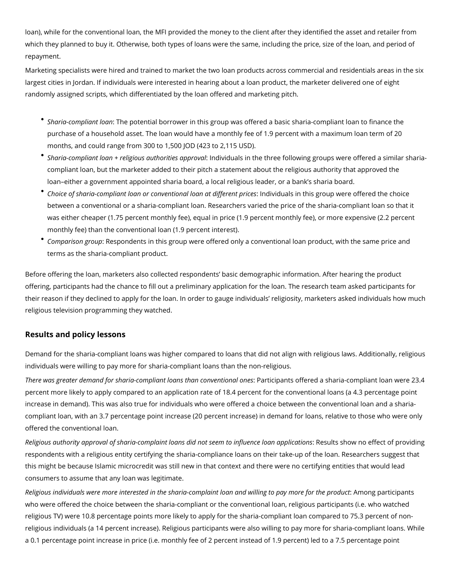loan), while for the conventional loan, the MFI provided the money to the client after they identified the asset and retailer from which they planned to buy it. Otherwise, both types of loans were the same, including the price, size of the loan, and period of repayment.

Marketing specialists were hired and trained to market the two loan products across commercial and residentials areas in the six largest cities in Jordan. If individuals were interested in hearing about a loan product, the marketer delivered one of eight randomly assigned scripts, which differentiated by the loan offered and marketing pitch.

- *Sharia-compliant loan*: The potential borrower in this group was offered a basic sharia-compliant loan to finance the purchase of a household asset. The loan would have a monthly fee of 1.9 percent with a maximum loan term of 20 months, and could range from 300 to 1,500 JOD (423 to 2,115 USD).
- *Sharia-compliant loan + religious authorities approval*: Individuals in the three following groups were offered a similar shariacompliant loan, but the marketer added to their pitch a statement about the religious authority that approved the loan–either a government appointed sharia board, a local religious leader, or a bank's sharia board.
- *Choice of sharia-compliant loan or conventional loan at different prices*: Individuals in this group were offered the choice between a conventional or a sharia-compliant loan. Researchers varied the price of the sharia-compliant loan so that it was either cheaper (1.75 percent monthly fee), equal in price (1.9 percent monthly fee), or more expensive (2.2 percent monthly fee) than the conventional loan (1.9 percent interest).
- *Comparison group*: Respondents in this group were offered only a conventional loan product, with the same price and terms as the sharia-compliant product.

Before offering the loan, marketers also collected respondents' basic demographic information. After hearing the product offering, participants had the chance to fill out a preliminary application for the loan. The research team asked participants for their reason if they declined to apply for the loan. In order to gauge individuals' religiosity, marketers asked individuals how much religious television programming they watched.

## **Results and policy lessons**

Demand for the sharia-compliant loans was higher compared to loans that did not align with religious laws. Additionally, religious individuals were willing to pay more for sharia-compliant loans than the non-religious.

*There was greater demand for sharia-compliant loans than conventional ones*: Participants offered a sharia-compliant loan were 23.4 percent more likely to apply compared to an application rate of 18.4 percent for the conventional loans (a 4.3 percentage point increase in demand). This was also true for individuals who were offered a choice between the conventional loan and a shariacompliant loan, with an 3.7 percentage point increase (20 percent increase) in demand for loans, relative to those who were only offered the conventional loan.

*Religious authority approval of sharia-complaint loans did not seem to influence loan applications*: Results show no effect of providing respondents with a religious entity certifying the sharia-compliance loans on their take-up of the loan. Researchers suggest that this might be because Islamic microcredit was still new in that context and there were no certifying entities that would lead consumers to assume that any loan was legitimate.

*Religious individuals were more interested in the sharia-complaint loan and willing to pay more for the product*: Among participants who were offered the choice between the sharia-compliant or the conventional loan, religious participants (i.e. who watched religious TV) were 10.8 percentage points more likely to apply for the sharia-compliant loan compared to 75.3 percent of nonreligious individuals (a 14 percent increase). Religious participants were also willing to pay more for sharia-compliant loans. While a 0.1 percentage point increase in price (i.e. monthly fee of 2 percent instead of 1.9 percent) led to a 7.5 percentage point